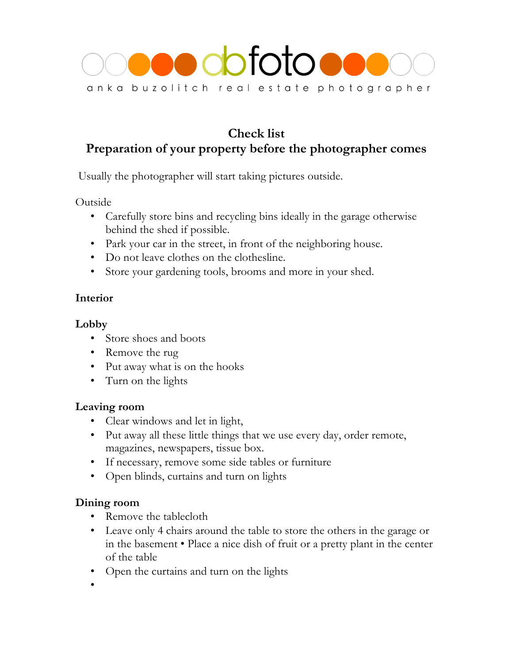

# **Check list Preparation of your property before the photographer comes**

Usually the photographer will start taking pictures outside.

Outside

- Carefully store bins and recycling bins ideally in the garage otherwise behind the shed if possible.
- Park your car in the street, in front of the neighboring house.
- Do not leave clothes on the clothesline.
- Store your gardening tools, brooms and more in your shed.

## **Interior**

### **Lobby**

- Store shoes and boots
- Remove the rug
- Put away what is on the hooks
- Turn on the lights

### **Leaving room**

- Clear windows and let in light,
- Put away all these little things that we use every day, order remote, magazines, newspapers, tissue box.
- If necessary, remove some side tables or furniture
- Open blinds, curtains and turn on lights

### **Dining room**

- Remove the tablecloth
- Leave only 4 chairs around the table to store the others in the garage or in the basement • Place a nice dish of fruit or a pretty plant in the center of the table
- Open the curtains and turn on the lights

•